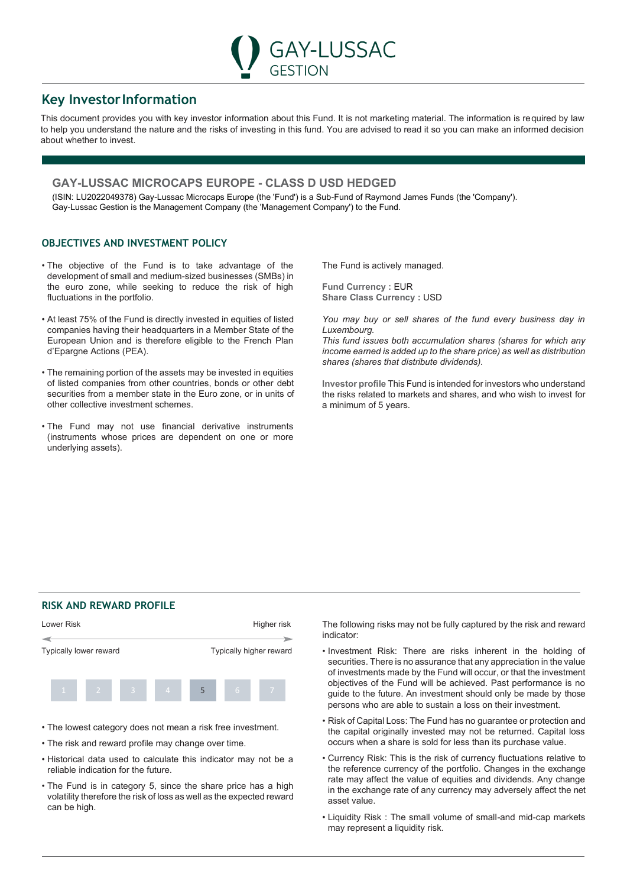# **Key InvestorInformation**

This document provides you with key investor information about this Fund. It is not marketing material. The information is required by law to help you understand the nature and the risks of investing in this fund. You are advised to read it so you can make an informed decision about whether to invest.

GESTION

**GAY-LUSSAC** 

## **GAY-LUSSAC MICROCAPS EUROPE - CLASS D USD HEDGED**

(ISIN: LU2022049378) Gay-Lussac Microcaps Europe (the 'Fund') is a Sub-Fund of Raymond James Funds (the 'Company'). Gay-Lussac Gestion is the Management Company (the 'Management Company') to the Fund.

## **OBJECTIVES AND INVESTMENT POLICY**

- The objective of the Fund is to take advantage of the development of small and medium-sized businesses (SMBs) in the euro zone, while seeking to reduce the risk of high fluctuations in the portfolio.
- At least 75% of the Fund is directly invested in equities of listed companies having their headquarters in a Member State of the European Union and is therefore eligible to the French Plan d'Epargne Actions (PEA).
- The remaining portion of the assets may be invested in equities of listed companies from other countries, bonds or other debt securities from a member state in the Euro zone, or in units of other collective investment schemes.
- The Fund may not use financial derivative instruments (instruments whose prices are dependent on one or more underlying assets).

The Fund is actively managed.

**Fund Currency : EUR Share Class Currency : USD** 

*You may buy or sell shares of the fund every business day in Luxembourg.*

*This fund issues both accumulation shares (shares for which any income earned is added up to the share price) as well as distribution shares (shares that distribute dividends).*

**Investor profile** This Fund is intended for investors who understand the risks related to markets and shares, and who wish to invest for a minimum of 5 years.

## **RISK AND REWARD PROFILE**



- The lowest category does not mean a risk free investment.
- The risk and reward profile may change over time.
- Historical data used to calculate this indicator may not be a reliable indication for the future.
- The Fund is in category 5, since the share price has a high volatility therefore the risk of loss as well as the expected reward can be high.

The following risks may not be fully captured by the risk and reward indicator:

- Investment Risk: There are risks inherent in the holding of securities. There is no assurance that any appreciation in the value of investments made by the Fund will occur, or that the investment objectives of the Fund will be achieved. Past performance is no guide to the future. An investment should only be made by those persons who are able to sustain a loss on their investment.
- Risk of Capital Loss: The Fund has no guarantee or protection and the capital originally invested may not be returned. Capital loss occurs when a share is sold for less than its purchase value.
- Currency Risk: This is the risk of currency fluctuations relative to the reference currency of the portfolio. Changes in the exchange rate may affect the value of equities and dividends. Any change in the exchange rate of any currency may adversely affect the net asset value.
- Liquidity Risk : The small volume of small-and mid-cap markets may represent a liquidity risk.